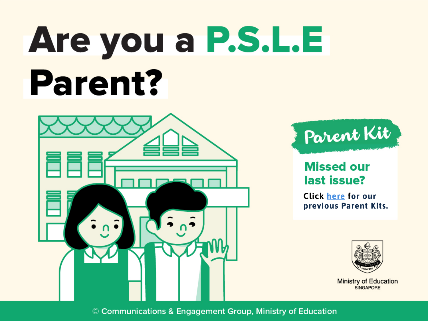# Are you a P.S.L.E **Parent?**





#### **Missed our** last issue?

**Click here for our [previous](https://go.gov.sg/moeparentkit-areyouapsleparent) Parent Kits.**



**Ministry of Education** SINGAPORE

© Communications & Engagement Group, Ministry of Education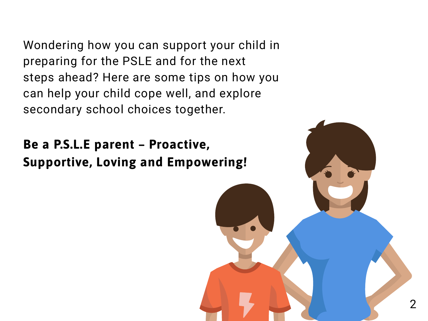Wondering how you can support your child in preparing for the PSLE and for the next steps ahead? Here are some tips on how you can help your child cope well, and explore secondary school choices together.

**Be a P.S.L.E parent – Proactive, Supportive, Loving and Empowering!**

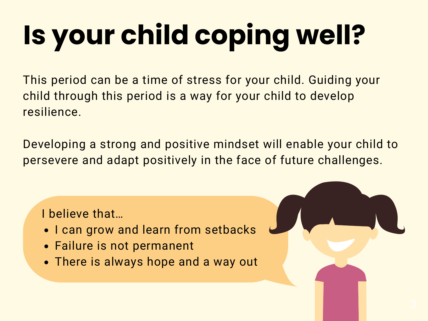# **Is your child coping well?**

This period can be a time of stress for your child. Guiding your child through this period is a way for your child to develop resilience.

Developing a strong and positive mindset will enable your child to persevere and adapt positively in the face of future challenges.

I believe that…

- I can grow and learn from setbacks
- Failure is not permanent
- There is always hope and a way out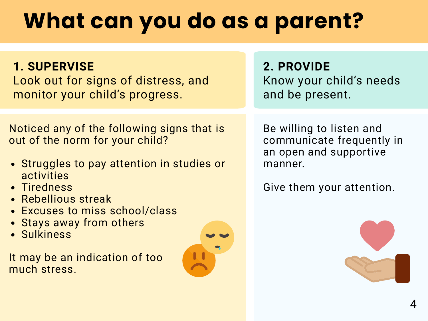### **What can you do as a parent?**

#### **1. SUPERVISE**

Look out for signs of distress, and monitor your child's progress.

Noticed any of the following signs that is out of the norm for your child?

- Struggles to pay attention in studies or activities
- Tiredness
- Rebellious streak
- **Excuses to miss school/class**
- Stays away from others
- Sulkiness

It may be an indication of too much stress.



**2. PROVIDE** Know your child's needs and be present.

Be willing to listen and communicate frequently in an open and supportive manner.

Give them your attention.

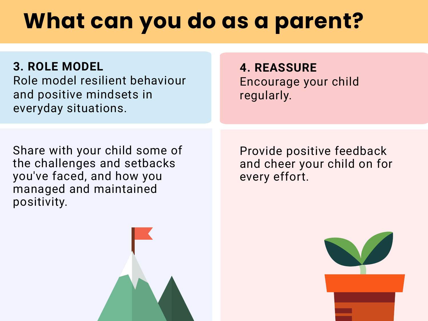### **What can you do as a parent?**

**3. ROLE MODEL**

Role model resilient behaviour and positive mindsets in everyday situations.

#### **4. REASSURE** Encourage your child regularly.

Share with your child some of the challenges and setbacks you've faced, and how you managed and maintained positivity.

Provide positive feedback and cheer your child on for every effort.



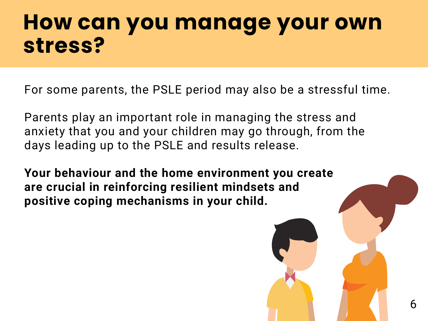### **How can you manage your own stress?**

For some parents, the PSLE period may also be a stressful time.

Parents play an important role in managing the stress and anxiety that you and your children may go through, from the days leading up to the PSLE and results release.

**Your behaviour and the home environment you create are crucial in reinforcing resilient mindsets and positive coping mechanisms in your child.**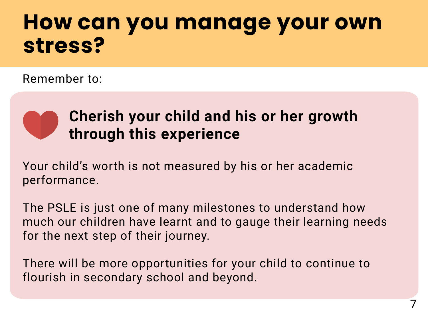### **How can you manage your own stress?**

Remember to:



#### **Cherish your child and his or her growth through this experience**

Your child's worth is not measured by his or her academic performance.

The PSLE is just one of many milestones to understand how much our children have learnt and to gauge their learning needs for the next step of their journey.

There will be more opportunities for your child to continue to flourish in secondary school and beyond.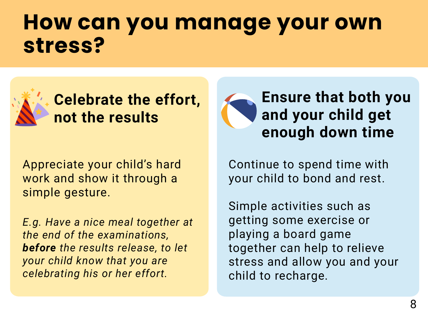### **How can you manage your own stress?**



**Celebrate the effort, not the results**

Appreciate your child's hard work and show it through a simple gesture.

*E.g. Have a nice meal together at the end of the examinations, before the results release, to let your child know that you are celebrating his or her effort.*



Continue to spend time with your child to bond and rest.

Simple activities such as getting some exercise or playing a board game together can help to relieve stress and allow you and your child to recharge.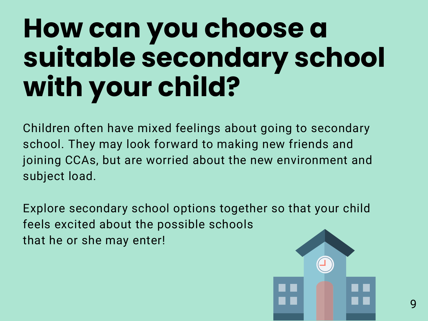## **How can you choose a suitable secondary school with your child?**

Children often have mixed feelings about going to secondary school. They may look forward to making new friends and joining CCAs, but are worried about the new environment and subject load.

Explore secondary school options together so that your child feels excited about the possible schools that he or she may enter!

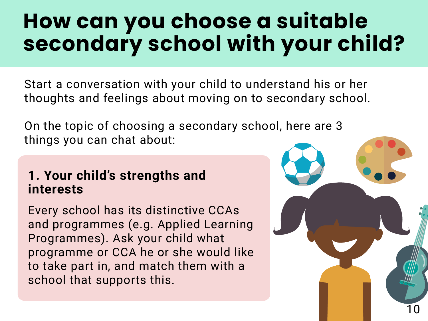### **How can you choose a suitable secondary school with your child?**

Start a conversation with your child to understand his or her thoughts and feelings about moving on to secondary school.

On the topic of choosing a secondary school, here are 3 things you can chat about:

#### **1. Your child's strengths and interests**

Every school has its distinctive CCAs and programmes (e.g. Applied Learning Programmes). Ask your child what programme or CCA he or she would like to take part in, and match them with a school that supports this.

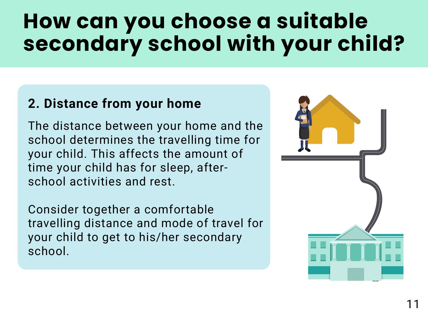### **How can you choose a suitable secondary school with your child?**

#### **2. Distance from your home**

The distance between your home and the school determines the travelling time for your child. This affects the amount of time your child has for sleep, afterschool activities and rest.

Consider together a comfortable travelling distance and mode of travel for your child to get to his/her secondary school.

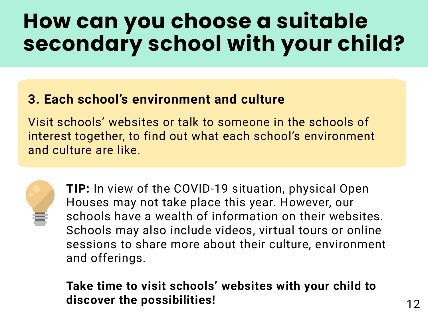### **How can you choose a suitable secondary school with your child?**

#### **3. Each school's environment and culture**

Visit schools' websites or talk to someone in the schools of interest together, to find out what each school's environment and culture are like.



**TIP:** In view of the COVID-19 situation, physical Open Houses may not take place this year. However, our schools have a wealth of information on their websites. Schools may also include videos, virtual tours or online sessions to share more about their culture, environment and offerings.

#### **Take time to visit schools' websites with your child to discover the possibilities!**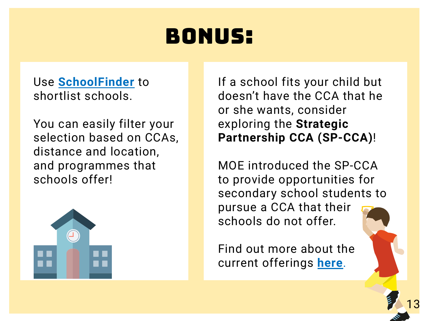### bonus:

Use **[SchoolFinder](https://go.gov.sg/moeparentkit-areyouapsleparent-schoolfinder)** to shortlist schools.

You can easily filter your selection based on CCAs, distance and location, and programmes that schools offer!



If a school fits your child but doesn't have the CCA that he or she wants, consider exploring the **Strategic Partnership CCA (SP-CCA)**!

MOE introduced the SP-CCA to provide [opportunities](https://go.gov.sg/moeparentkit-areyouapsleparent-spcca) for secondary school students to pursue a CCA that their schools do not offer.

Find out more about the current offerings **here**.

13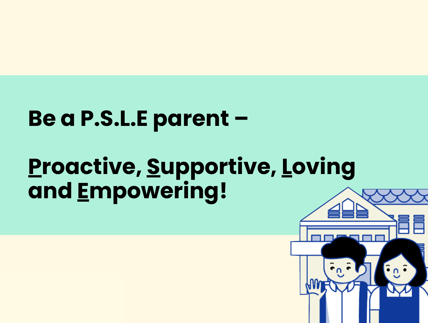## **Be a P.S.L.E** parent –

#### **Want more Proactive, Supportive, Loving and Empow Want more**

**Parent Kits?**

**Parent Kits?**



**Missed our<br>last issue?**